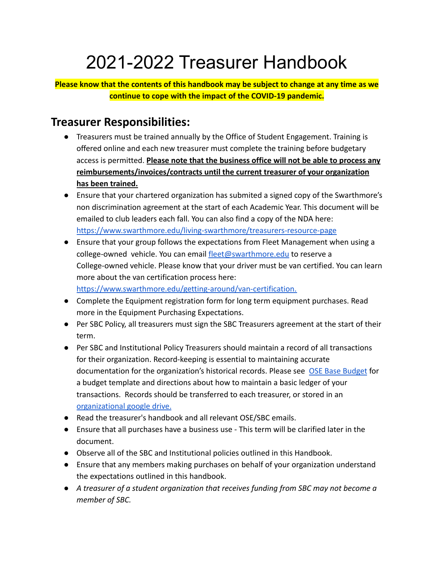# 2021-2022 Treasurer Handbook

**Please know that the contents of this handbook may be subject to change at any time as we continue to cope with the impact of the COVID-19 pandemic.**

# **Treasurer Responsibilities:**

- Treasurers must be trained annually by the Office of Student Engagement. Training is offered online and each new treasurer must complete the training before budgetary access is permitted. **Please note that the business office will not be able to process any reimbursements/invoices/contracts until the current treasurer of your organization has been trained.**
- Ensure that your chartered organization has submited a signed copy of the Swarthmore's non discrimination agreement at the start of each Academic Year. This document will be emailed to club leaders each fall. You can also find a copy of the NDA here: <https://www.swarthmore.edu/living-swarthmore/treasurers-resource-page>
- Ensure that your group follows the expectations from Fleet Management when using a college-owned vehicle. You can email [fleet@swarthmore.edu](mailto:fleet@swarthmore.edu) to reserve a College-owned vehicle. Please know that your driver must be van certified. You can learn more about the van certification process here: <https://www.swarthmore.edu/getting-around/van-certification.>
- Complete the Equipment registration form for long term equipment purchases. Read more in the Equipment Purchasing Expectations.
- Per SBC Policy, all treasurers must sign the SBC Treasurers agreement at the start of their term.
- Per SBC and Institutional Policy Treasurers should maintain a record of all transactions for their organization. Record-keeping is essential to maintaining accurate documentation for the organization's historical records. Please see [OSE Base Budget](https://www.swarthmore.edu/living-swarthmore/ose-base-budget) for a budget template and directions about how to maintain a basic ledger of your transactions. Records should be transferred to each treasurer, or stored in an [organizational google drive.](https://www.swarthmore.edu/google-swarthmore)
- Read the treasurer's handbook and all relevant OSE/SBC emails.
- Ensure that all purchases have a business use This term will be clarified later in the document.
- Observe all of the SBC and Institutional policies outlined in this Handbook.
- Ensure that any members making purchases on behalf of your organization understand the expectations outlined in this handbook.
- *● A treasurer of a student organization that receives funding from SBC may not become a member of SBC.*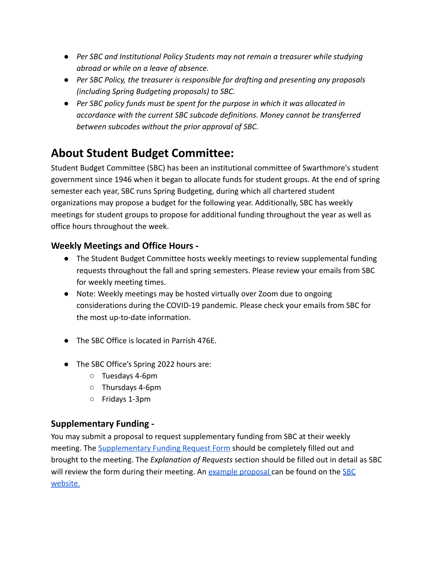- *● Per SBC and Institutional Policy Students may not remain a treasurer while studying abroad or while on a leave of absence.*
- *● Per SBC Policy, the treasurer is responsible for drafting and presenting any proposals (including Spring Budgeting proposals) to SBC.*
- *● Per SBC policy funds must be spent for the purpose in which it was allocated in accordance with the current SBC subcode definitions. Money cannot be transferred between subcodes without the prior approval of SBC.*

# **About Student Budget Committee:**

Student Budget Committee (SBC) has been an institutional committee of Swarthmore's student government since 1946 when it began to allocate funds for student groups. At the end of spring semester each year, SBC runs Spring Budgeting, during which all chartered student organizations may propose a budget for the following year. Additionally, SBC has weekly meetings for student groups to propose for additional funding throughout the year as well as office hours throughout the week.

### **Weekly Meetings and Office Hours -**

- The Student Budget Committee hosts weekly meetings to review supplemental funding requests throughout the fall and spring semesters. Please review your emails from SBC for weekly meeting times.
- Note: Weekly meetings may be hosted virtually over Zoom due to ongoing considerations during the COVID-19 pandemic. Please check your emails from SBC for the most up-to-date information.
- The SBC Office is located in Parrish 476E.
- The SBC Office's Spring 2022 hours are:
	- Tuesdays 4-6pm
	- Thursdays 4-6pm
	- Fridays 1-3pm

### **Supplementary Funding -**

You may submit a proposal to request supplementary funding from SBC at their weekly meeting. The [Supplementary Funding Request Form](https://drive.google.com/file/d/1NJ3u-jiiOPP8RAC-3H0Jxm5PyB6iocCE/view) should be completely filled out and brought to the meeting. The *Explanation of Requests* section should be filled out in detail as SBC will review the form during their meeting. An example [proposal](https://drive.google.com/file/d/1bK7U14nf4GFUFLYbVNAe4IRNlMxTRUGw/view) can be found on the [SBC](https://sgo.sccs.swarthmore.edu/sbc) [website.](https://sgo.sccs.swarthmore.edu/sbc)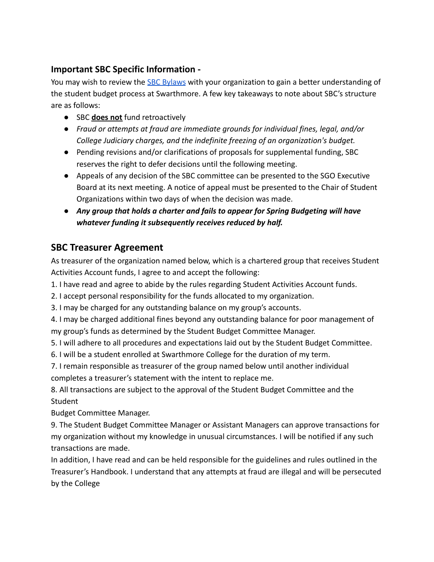### **Important SBC Specific Information -**

You may wish to review the **[SBC Bylaws](https://drive.google.com/file/d/1ia4TrzV1vmcdQkZDFBdhty7Z07LxZAiu/view)** with your organization to gain a better understanding of the student budget process at Swarthmore. A few key takeaways to note about SBC's structure are as follows:

- SBC **does not** fund retroactively
- *Fraud or attempts at fraud are immediate grounds for individual fines, legal, and/or College Judiciary charges, and the indefinite freezing of an organization's budget.*
- Pending revisions and/or clarifications of proposals for supplemental funding, SBC reserves the right to defer decisions until the following meeting.
- Appeals of any decision of the SBC committee can be presented to the SGO Executive Board at its next meeting. A notice of appeal must be presented to the Chair of Student Organizations within two days of when the decision was made.
- **●** *Any group that holds a charter and fails to appear for Spring Budgeting will have whatever funding it subsequently receives reduced by half.*

### **SBC Treasurer Agreement**

As treasurer of the organization named below, which is a chartered group that receives Student Activities Account funds, I agree to and accept the following:

1. I have read and agree to abide by the rules regarding Student Activities Account funds.

- 2. I accept personal responsibility for the funds allocated to my organization.
- 3. I may be charged for any outstanding balance on my group's accounts.

4. I may be charged additional fines beyond any outstanding balance for poor management of my group's funds as determined by the Student Budget Committee Manager.

5. I will adhere to all procedures and expectations laid out by the Student Budget Committee.

6. I will be a student enrolled at Swarthmore College for the duration of my term.

7. I remain responsible as treasurer of the group named below until another individual completes a treasurer's statement with the intent to replace me.

8. All transactions are subject to the approval of the Student Budget Committee and the **Student** 

Budget Committee Manager.

9. The Student Budget Committee Manager or Assistant Managers can approve transactions for my organization without my knowledge in unusual circumstances. I will be notified if any such transactions are made.

In addition, I have read and can be held responsible for the guidelines and rules outlined in the Treasurer's Handbook. I understand that any attempts at fraud are illegal and will be persecuted by the College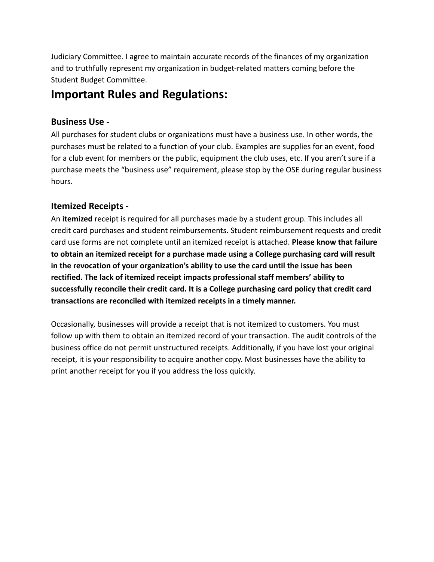Judiciary Committee. I agree to maintain accurate records of the finances of my organization and to truthfully represent my organization in budget-related matters coming before the Student Budget Committee.

# **Important Rules and Regulations:**

### **Business Use -**

All purchases for student clubs or organizations must have a business use. In other words, the purchases must be related to a function of your club. Examples are supplies for an event, food for a club event for members or the public, equipment the club uses, etc. If you aren't sure if a purchase meets the "business use" requirement, please stop by the OSE during regular business hours.

### **Itemized Receipts -**

An **itemized** receipt is required for all purchases made by a student group. This includes all credit card purchases and student reimbursements. Student reimbursement requests and credit card use forms are not complete until an itemized receipt is attached. **Please know that failure to obtain an itemized receipt for a purchase made using a College purchasing card will result in the revocation of your organization's ability to use the card until the issue has been rectified. The lack of itemized receipt impacts professional staff members' ability to successfully reconcile their credit card. It is a College purchasing card policy that credit card transactions are reconciled with itemized receipts in a timely manner.**

Occasionally, businesses will provide a receipt that is not itemized to customers. You must follow up with them to obtain an itemized record of your transaction. The audit controls of the business office do not permit unstructured receipts. Additionally, if you have lost your original receipt, it is your responsibility to acquire another copy. Most businesses have the ability to print another receipt for you if you address the loss quickly.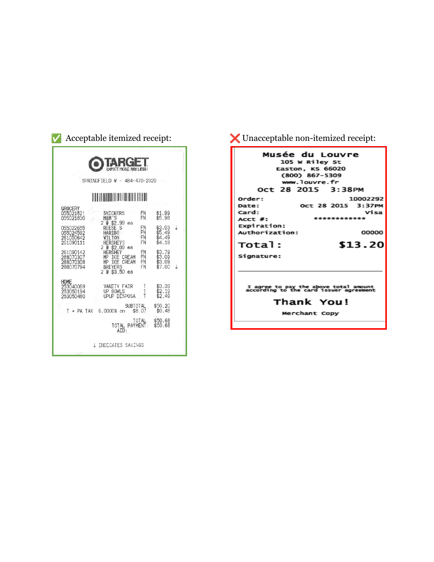| Acceptable itemized receipt:                                    |                                                                                                         |                      |                                      |  |  |
|-----------------------------------------------------------------|---------------------------------------------------------------------------------------------------------|----------------------|--------------------------------------|--|--|
| <b>EXPECT MORE PAY LESS:</b><br>SPRINGFIELD W - 484-470-2320    |                                                                                                         |                      |                                      |  |  |
|                                                                 |                                                                                                         |                      |                                      |  |  |
| GROCERY<br>055021821<br>055021830                               | SNICKERS<br>M&M'S                                                                                       | FN<br>FN             | \$1.99<br>\$5.98                     |  |  |
| 055022655<br>055024592<br>261050642<br>261090111                | 2 @ \$2.99<br>$A^2$<br>S<br><b>REESE</b><br><b>HARTBO</b><br>WTL TON<br><b>HERSHEYS</b>                 | FN<br>FN<br>FN<br>FN | \$3.03<br>\$5.49<br>\$4.49<br>\$4.18 |  |  |
| 261090142<br>288070307<br>288070308<br>288070794                | 20 \$2.09 еа<br><b>HERSHEY</b><br>MP ICE<br>CREAM<br>CREAM<br>MP ICE<br><b>BREYERS</b><br>2 @ \$3.50 ea | FN<br>FN<br>FN<br>FN | \$3.79<br>\$3.09<br>\$3.09<br>\$7.00 |  |  |
| HOME<br>253040069<br>253050194<br>253050480                     | VANITY FAIR<br>UP BOWLS<br><b>UPUP DISPOSA</b>                                                          | T<br>T<br>T          | \$3.39<br>\$2.19<br>\$2.49           |  |  |
| \$50.20<br>SUBTOTAL<br>\$0.48<br>\$8.07<br>6.0000% on<br>PA TAX |                                                                                                         |                      |                                      |  |  |
| TOTAL<br>\$50.68<br>\$50.68<br>TOTAL PAYMENT<br>AID:            |                                                                                                         |                      |                                      |  |  |
| INDICATES SAVINGS                                               |                                                                                                         |                      |                                      |  |  |

 $\blacktriangleright$  Unacceptable non-itemized receipt:

| <b>Musée du Louvre</b>                                                                                                                  |
|-----------------------------------------------------------------------------------------------------------------------------------------|
| 105 W Riley St<br>Easton, KS 66020<br>$(800)$ 867-5309<br>www.louvre.fr<br>Oct 28 2015 3:38PM                                           |
| 10002292<br>Order:<br>Oct 28 2015 3:37PM<br>Date:<br>Visa<br>Card:<br>**********<br>$ACCT$ #:<br>Expiration:<br>Authorization:<br>00000 |
| Total:<br>\$13.20<br>Signature:                                                                                                         |
| I agree to pay the above total amount<br>according to the card issuer agreement<br>Thank You!<br>Merchant Copy                          |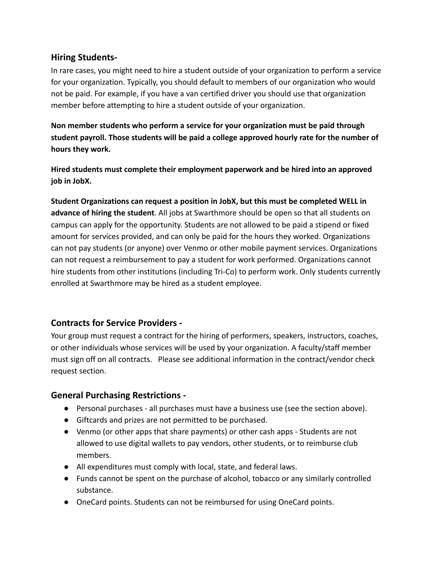#### **Hiring Students-**

In rare cases, you might need to hire a student outside of your organization to perform a service for your organization. Typically, you should default to members of our organization who would not be paid. For example, if you have a van certified driver you should use that organization member before attempting to hire a student outside of your organization.

**Non member students who perform a service for your organization must be paid through student payroll. Those students will be paid a college approved hourly rate for the number of hours they work.**

**Hired students must complete their employment paperwork and be hired into an approved job in JobX.**

**Student Organizations can request a position in JobX, but this must be completed WELL in advance of hiring the student**. All jobs at Swarthmore should be open so that all students on campus can apply for the opportunity. Students are not allowed to be paid a stipend or fixed amount for services provided, and can only be paid for the hours they worked. Organizations can not pay students (or anyone) over Venmo or other mobile payment services. Organizations can not request a reimbursement to pay a student for work performed. Organizations cannot hire students from other institutions (including Tri-Co) to perform work. Only students currently enrolled at Swarthmore may be hired as a student employee.

### **Contracts for Service Providers -**

Your group must request a contract for the hiring of performers, speakers, instructors, coaches, or other individuals whose services will be used by your organization. A faculty/staff member must sign off on all contracts. Please see additional information in the contract/vendor check request section.

### **General Purchasing Restrictions -**

- Personal purchases all purchases must have a business use (see the section above).
- Giftcards and prizes are not permitted to be purchased.
- Venmo (or other apps that share payments) or other cash apps Students are not allowed to use digital wallets to pay vendors, other students, or to reimburse club members.
- All expenditures must comply with local, state, and federal laws.
- Funds cannot be spent on the purchase of alcohol, tobacco or any similarly controlled substance.
- OneCard points. Students can not be reimbursed for using OneCard points.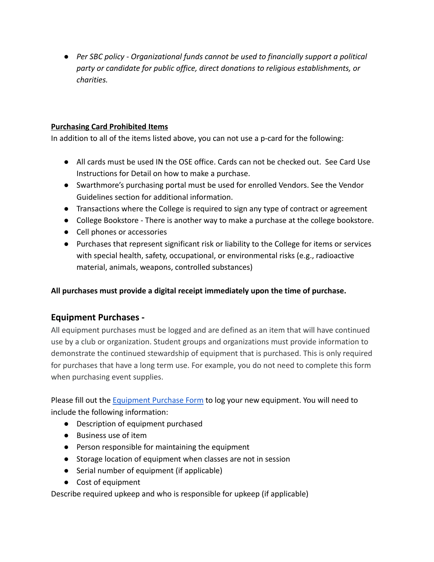*● Per SBC policy - Organizational funds cannot be used to financially support a political party or candidate for public office, direct donations to religious establishments, or charities.*

#### **Purchasing Card Prohibited Items**

In addition to all of the items listed above, you can not use a p-card for the following:

- All cards must be used IN the OSE office. Cards can not be checked out. See Card Use Instructions for Detail on how to make a purchase.
- Swarthmore's purchasing portal must be used for enrolled Vendors. See the Vendor Guidelines section for additional information.
- Transactions where the College is required to sign any type of contract or agreement
- College Bookstore There is another way to make a purchase at the college bookstore.
- Cell phones or accessories
- Purchases that represent significant risk or liability to the College for items or services with special health, safety, occupational, or environmental risks (e.g., radioactive material, animals, weapons, controlled substances)

**All purchases must provide a digital receipt immediately upon the time of purchase.**

### **Equipment Purchases -**

All equipment purchases must be logged and are defined as an item that will have continued use by a club or organization. Student groups and organizations must provide information to demonstrate the continued stewardship of equipment that is purchased. This is only required for purchases that have a long term use. For example, you do not need to complete this form when purchasing event supplies.

Please fill out the [Equipment Purchase Form](https://www.swarthmore.edu/living-swarthmore/treasurers-resource-page) to log your new equipment. You will need to include the following information:

- Description of equipment purchased
- Business use of item
- Person responsible for maintaining the equipment
- Storage location of equipment when classes are not in session
- Serial number of equipment (if applicable)
- Cost of equipment

Describe required upkeep and who is responsible for upkeep (if applicable)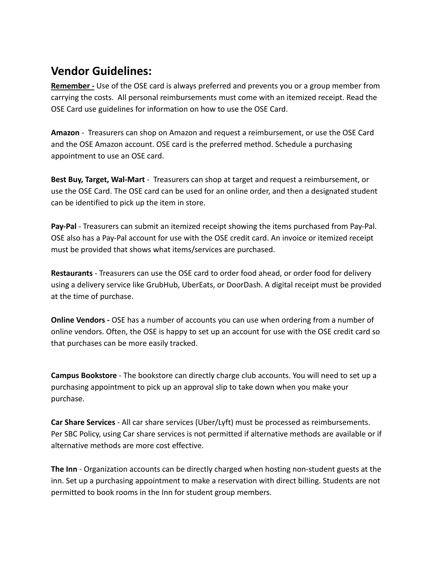# **Vendor Guidelines:**

**Remember -** Use of the OSE card is always preferred and prevents you or a group member from carrying the costs. All personal reimbursements must come with an itemized receipt. Read the OSE Card use guidelines for information on how to use the OSE Card.

**Amazon** - Treasurers can shop on Amazon and request a reimbursement, or use the OSE Card and the OSE Amazon account. OSE card is the preferred method. Schedule a purchasing appointment to use an OSE card.

**Best Buy, Target, Wal-Mart** - Treasurers can shop at target and request a reimbursement, or use the OSE Card. The OSE card can be used for an online order, and then a designated student can be identified to pick up the item in store.

**Pay-Pal** - Treasurers can submit an itemized receipt showing the items purchased from Pay-Pal. OSE also has a Pay-Pal account for use with the OSE credit card. An invoice or itemized receipt must be provided that shows what items/services are purchased.

**Restaurants** - Treasurers can use the OSE card to order food ahead, or order food for delivery using a delivery service like GrubHub, UberEats, or DoorDash. A digital receipt must be provided at the time of purchase.

**Online Vendors -** OSE has a number of accounts you can use when ordering from a number of online vendors. Often, the OSE is happy to set up an account for use with the OSE credit card so that purchases can be more easily tracked.

**Campus Bookstore** - The bookstore can directly charge club accounts. You will need to set up a purchasing appointment to pick up an approval slip to take down when you make your purchase.

**Car Share Services** - All car share services (Uber/Lyft) must be processed as reimbursements. Per SBC Policy, using Car share services is not permitted if alternative methods are available or if alternative methods are more cost effective.

**The Inn** - Organization accounts can be directly charged when hosting non-student guests at the inn. Set up a purchasing appointment to make a reservation with direct billing. Students are not permitted to book rooms in the Inn for student group members.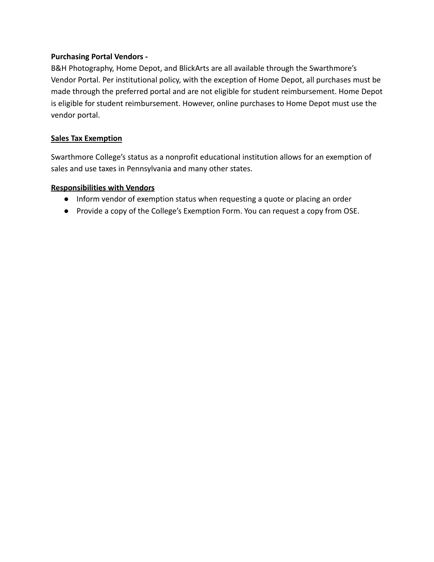#### **Purchasing Portal Vendors -**

B&H Photography, Home Depot, and BlickArts are all available through the Swarthmore's Vendor Portal. Per institutional policy, with the exception of Home Depot, all purchases must be made through the preferred portal and are not eligible for student reimbursement. Home Depot is eligible for student reimbursement. However, online purchases to Home Depot must use the vendor portal.

#### **Sales Tax Exemption**

Swarthmore College's status as a nonprofit educational institution allows for an exemption of sales and use taxes in Pennsylvania and many other states.

#### **Responsibilities with Vendors**

- Inform vendor of exemption status when requesting a quote or placing an order
- Provide a copy of the College's Exemption Form. You can request a copy from OSE.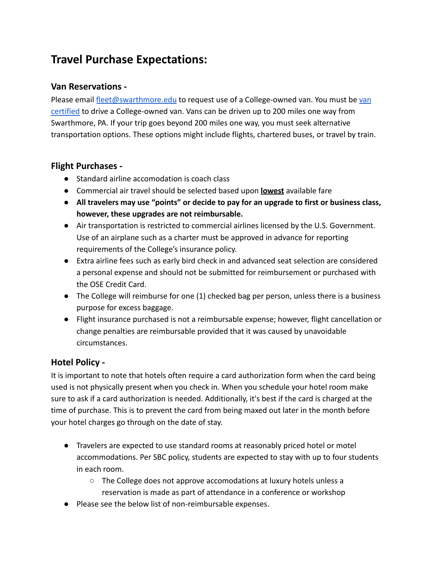# **Travel Purchase Expectations:**

#### **Van Reservations -**

Please email [fleet@swarthmore.edu](mailto:fleet@swarthmore.edu) to request use of a College-owned [van](https://www.swarthmore.edu/getting-around/van-certification). You must be van [certified](https://www.swarthmore.edu/getting-around/van-certification) to drive a College-owned van. Vans can be driven up to 200 miles one way from Swarthmore, PA. If your trip goes beyond 200 miles one way, you must seek alternative transportation options. These options might include flights, chartered buses, or travel by train.

#### **Flight Purchases -**

- Standard airline accomodation is coach class
- Commercial air travel should be selected based upon **lowest** available fare
- **● All travelers may use "points" or decide to pay for an upgrade to first or business class, however, these upgrades are not reimbursable.**
- Air transportation is restricted to commercial airlines licensed by the U.S. Government. Use of an airplane such as a charter must be approved in advance for reporting requirements of the College's insurance policy.
- Extra airline fees such as early bird check in and advanced seat selection are considered a personal expense and should not be submitted for reimbursement or purchased with the OSE Credit Card.
- The College will reimburse for one (1) checked bag per person, unless there is a business purpose for excess baggage.
- Flight insurance purchased is not a reimbursable expense; however, flight cancellation or change penalties are reimbursable provided that it was caused by unavoidable circumstances.

#### **Hotel Policy -**

It is important to note that hotels often require a card authorization form when the card being used is not physically present when you check in. When you schedule your hotel room make sure to ask if a card authorization is needed. Additionally, it's best if the card is charged at the time of purchase. This is to prevent the card from being maxed out later in the month before your hotel charges go through on the date of stay.

- Travelers are expected to use standard rooms at reasonably priced hotel or motel accommodations. Per SBC policy, students are expected to stay with up to four students in each room.
	- The College does not approve accomodations at luxury hotels unless a reservation is made as part of attendance in a conference or workshop
- Please see the below list of non-reimbursable expenses.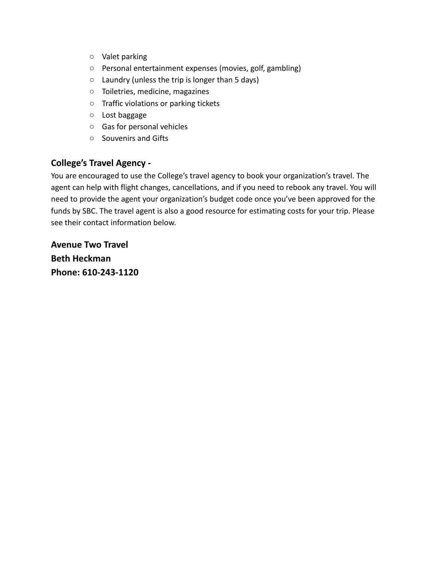- Valet parking
- Personal entertainment expenses (movies, golf, gambling)
- Laundry (unless the trip is longer than 5 days)
- Toiletries, medicine, magazines
- Traffic violations or parking tickets
- Lost baggage
- Gas for personal vehicles
- Souvenirs and Gifts

### **College's Travel Agency -**

You are encouraged to use the College's travel agency to book your organization's travel. The agent can help with flight changes, cancellations, and if you need to rebook any travel. You will need to provide the agent your organization's budget code once you've been approved for the funds by SBC. The travel agent is also a good resource for estimating costs for your trip. Please see their contact information below.

**Avenue Two Travel Beth Heckman Phone: 610-243-1120**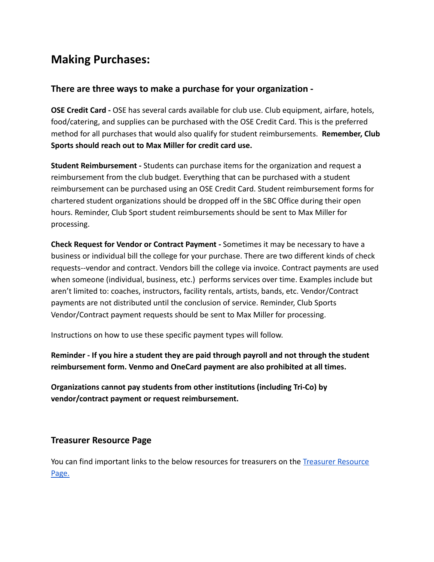# **Making Purchases:**

#### **There are three ways to make a purchase for your organization -**

**OSE Credit Card -** OSE has several cards available for club use. Club equipment, airfare, hotels, food/catering, and supplies can be purchased with the OSE Credit Card. This is the preferred method for all purchases that would also qualify for student reimbursements. **Remember, Club Sports should reach out to Max Miller for credit card use.**

**Student Reimbursement -** Students can purchase items for the organization and request a reimbursement from the club budget. Everything that can be purchased with a student reimbursement can be purchased using an OSE Credit Card. Student reimbursement forms for chartered student organizations should be dropped off in the SBC Office during their open hours. Reminder, Club Sport student reimbursements should be sent to Max Miller for processing.

**Check Request for Vendor or Contract Payment -** Sometimes it may be necessary to have a business or individual bill the college for your purchase. There are two different kinds of check requests--vendor and contract. Vendors bill the college via invoice. Contract payments are used when someone (individual, business, etc.) performs services over time. Examples include but aren't limited to: coaches, instructors, facility rentals, artists, bands, etc. Vendor/Contract payments are not distributed until the conclusion of service. Reminder, Club Sports Vendor/Contract payment requests should be sent to Max Miller for processing.

Instructions on how to use these specific payment types will follow.

**Reminder - If you hire a student they are paid through payroll and not through the student reimbursement form. Venmo and OneCard payment are also prohibited at all times.**

**Organizations cannot pay students from other institutions (including Tri-Co) by vendor/contract payment or request reimbursement.**

#### **Treasurer Resource Page**

You can find important links to the below resources for treasurers on the [Treasurer Resource](https://www.swarthmore.edu/living-swarthmore/treasurers-resource-page) [Page.](https://www.swarthmore.edu/living-swarthmore/treasurers-resource-page)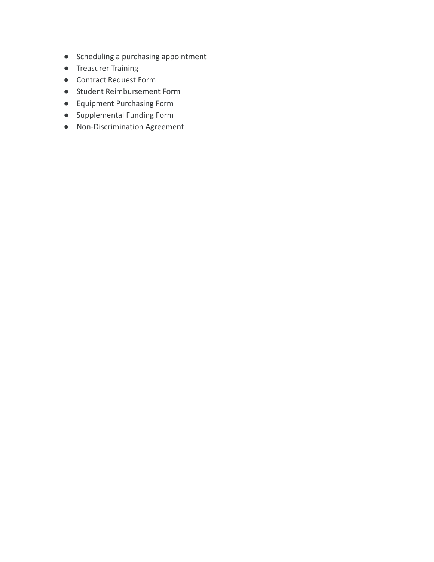- Scheduling a purchasing appointment
- Treasurer Training
- Contract Request Form
- Student Reimbursement Form
- Equipment Purchasing Form
- Supplemental Funding Form
- Non-Discrimination Agreement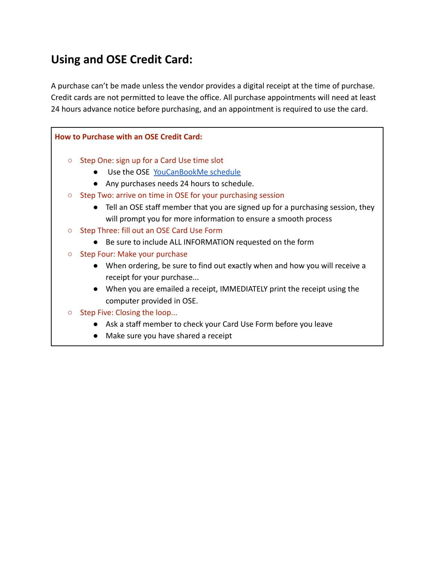# **Using and OSE Credit Card:**

A purchase can't be made unless the vendor provides a digital receipt at the time of purchase. Credit cards are not permitted to leave the office. All purchase appointments will need at least 24 hours advance notice before purchasing, and an appointment is required to use the card.

## **How to Purchase with an OSE Credit Card:** ○ Step One: sign up for a Card Use time slot ● Use the OSE [YouCanBookMe schedule](https://ose-purchasing.youcanbook.me) ● Any purchases needs 24 hours to schedule. ○ Step Two: arrive on time in OSE for your purchasing session ● Tell an OSE staff member that you are signed up for a purchasing session, they will prompt you for more information to ensure a smooth process ○ Step Three: fill out an OSE Card Use Form ● Be sure to include ALL INFORMATION requested on the form ○ Step Four: Make your purchase ● When ordering, be sure to find out exactly when and how you will receive a receipt for your purchase... ● When you are emailed a receipt, IMMEDIATELY print the receipt using the computer provided in OSE. ○ Step Five: Closing the loop... ● Ask a staff member to check your Card Use Form before you leave ● Make sure you have shared a receipt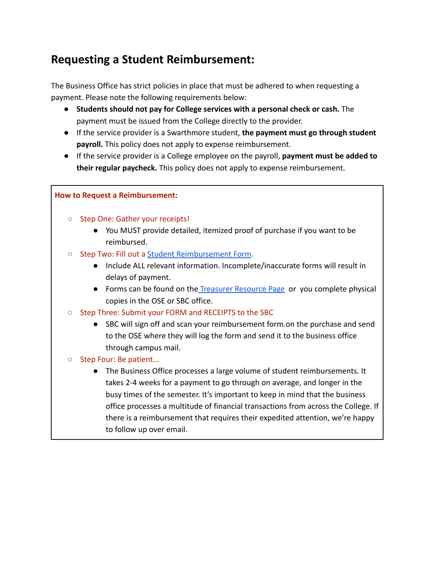# **Requesting a Student Reimbursement:**

The Business Office has strict policies in place that must be adhered to when requesting a payment. Please note the following requirements below:

- **Students should not pay for College services with a personal check or cash.** The payment must be issued from the College directly to the provider.
- If the service provider is a Swarthmore student, **the payment must go through student payroll.** This policy does not apply to expense reimbursement.
- If the service provider is a College employee on the payroll, **payment must be added to their regular paycheck.** This policy does not apply to expense reimbursement.

#### **How to Request a Reimbursement:**

- Step One: Gather your receipts!
	- You MUST provide detailed, itemized proof of purchase if you want to be reimbursed.
- Step Two: Fill out a [Student Reimbursement Form.](https://www.swarthmore.edu/living-swarthmore/treasurers-resource-page)
	- Include ALL relevant information. Incomplete/inaccurate forms will result in delays of payment.
	- Forms can be found on the [Treasurer Resource Page](https://www.swarthmore.edu/living-swarthmore/treasurers-resource-page) or you complete physical copies in the OSE or SBC office.
- Step Three: Submit your FORM and RECEIPTS to the SBC
	- SBC will sign off and scan your reimbursement form.on the purchase and send to the OSE where they will log the form and send it to the business office through campus mail.
- Step Four: Be patient...
	- The Business Office processes a large volume of student reimbursements. It takes 2-4 weeks for a payment to go through on average, and longer in the busy times of the semester. It's important to keep in mind that the business office processes a multitude of financial transactions from across the College. If there is a reimbursement that requires their expedited attention, we're happy to follow up over email.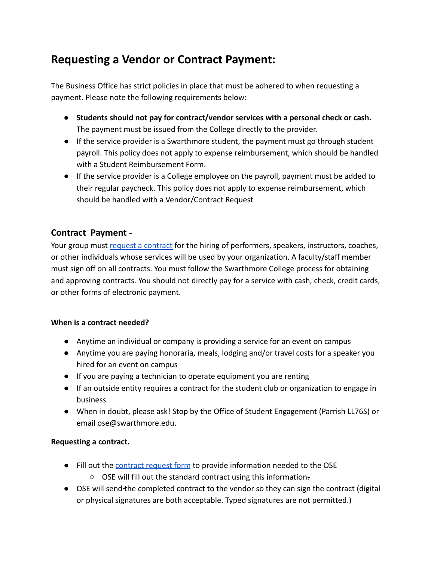# **Requesting a Vendor or Contract Payment:**

The Business Office has strict policies in place that must be adhered to when requesting a payment. Please note the following requirements below:

- **Students should not pay for contract/vendor services with a personal check or cash.** The payment must be issued from the College directly to the provider.
- If the service provider is a Swarthmore student, the payment must go through student payroll. This policy does not apply to expense reimbursement, which should be handled with a Student Reimbursement Form.
- If the service provider is a College employee on the payroll, payment must be added to their regular paycheck. This policy does not apply to expense reimbursement, which should be handled with a Vendor/Contract Request

#### **Contract Payment -**

Your group must [request a contract](https://www.swarthmore.edu/living-swarthmore/treasurers-resource-page) for the hiring of performers, speakers, instructors, coaches, or other individuals whose services will be used by your organization. A faculty/staff member must sign off on all contracts. You must follow the Swarthmore College process for obtaining and approving contracts. You should not directly pay for a service with cash, check, credit cards, or other forms of electronic payment.

#### **When is a contract needed?**

- Anytime an individual or company is providing a service for an event on campus
- Anytime you are paying honoraria, meals, lodging and/or travel costs for a speaker you hired for an event on campus
- If you are paying a technician to operate equipment you are renting
- If an outside entity requires a contract for the student club or organization to engage in business
- When in doubt, please ask! Stop by the Office of Student Engagement (Parrish LL76S) or email ose@swarthmore.edu.

#### **Requesting a contract.**

- Fill out the [contract request form](https://www.swarthmore.edu/living-swarthmore/treasurers-resource-page) to provide information needed to the OSE
	- OSE will fill out the standard contract using this information.
- OSE will send the completed contract to the vendor so they can sign the contract (digital or physical signatures are both acceptable. Typed signatures are not permitted.)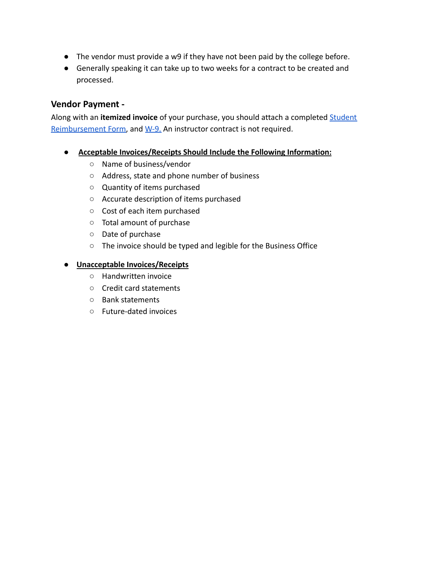- The vendor must provide a w9 if they have not been paid by the college before.
- Generally speaking it can take up to two weeks for a contract to be created and processed.

#### **Vendor Payment -**

Along with an **itemized invoice** of your purchase, you should attach a completed [Student](https://www.swarthmore.edu/living-swarthmore/treasurers-resource-page) [Reimbursement Form,](https://www.swarthmore.edu/living-swarthmore/treasurers-resource-page) and [W-9.](https://www.irs.gov/pub/irs-pdf/fw9.pdf) An instructor contract is not required.

- **Acceptable Invoices/Receipts Should Include the Following Information:**
	- Name of business/vendor
	- Address, state and phone number of business
	- Quantity of items purchased
	- Accurate description of items purchased
	- Cost of each item purchased
	- Total amount of purchase
	- Date of purchase
	- The invoice should be typed and legible for the Business Office

#### ● **Unacceptable Invoices/Receipts**

- Handwritten invoice
- Credit card statements
- Bank statements
- Future-dated invoices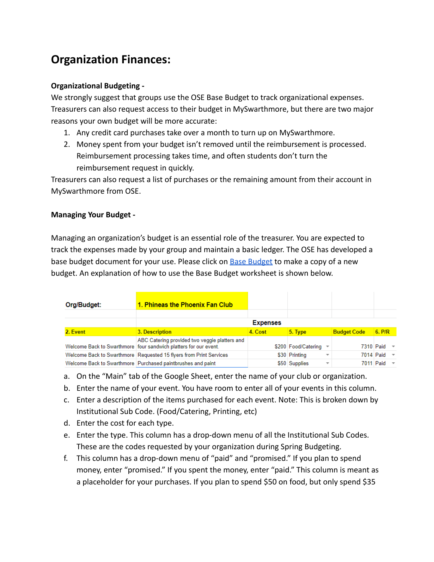# **Organization Finances:**

#### **Organizational Budgeting -**

We strongly suggest that groups use the OSE Base Budget to track organizational expenses. Treasurers can also request access to their budget in MySwarthmore, but there are two major reasons your own budget will be more accurate:

- 1. Any credit card purchases take over a month to turn up on MySwarthmore.
- 2. Money spent from your budget isn't removed until the reimbursement is processed. Reimbursement processing takes time, and often students don't turn the reimbursement request in quickly.

Treasurers can also request a list of purchases or the remaining amount from their account in MySwarthmore from OSE.

#### **Managing Your Budget -**

Managing an organization's budget is an essential role of the treasurer. You are expected to track the expenses made by your group and maintain a basic ledger. The OSE has developed a base budget document for your use. Please click on **[Base Budget](https://www.swarthmore.edu/living-swarthmore/ose-base-budget) to make a copy of a new** budget. An explanation of how to use the Base Budget worksheet is shown below.

| Org/Budget: | 1. Phineas the Phoenix Fan Club                                                                                   |                 |                     |                          |                      |                          |
|-------------|-------------------------------------------------------------------------------------------------------------------|-----------------|---------------------|--------------------------|----------------------|--------------------------|
|             |                                                                                                                   | <b>Expenses</b> |                     |                          |                      |                          |
| 2. Event    | 3. Description                                                                                                    | 4. Cost         | $5.$ Type           | <b>Budget Code</b>       | $6.$ P/R             |                          |
|             | ABC Catering provided two veggie platters and<br>Welcome Back to Swarthmore four sandwich platters for our event. |                 | \$200 Food/Catering |                          | 7310 Paid $\sqrt{ }$ |                          |
|             | Welcome Back to Swarthmore   Requested 15 flyers from Print Services                                              |                 | \$30 Printing       | $\overline{\phantom{a}}$ | 7014 Paid            | $\overline{\phantom{a}}$ |
|             | Welcome Back to Swarthmore Purchased paintbrushes and paint                                                       |                 | \$50 Supplies       | $\overline{\phantom{a}}$ | 7011 Paid $\sqrt{ }$ |                          |

- a. On the "Main" tab of the Google Sheet, enter the name of your club or organization.
- b. Enter the name of your event. You have room to enter all of your events in this column.
- c. Enter a description of the items purchased for each event. Note: This is broken down by Institutional Sub Code. (Food/Catering, Printing, etc)
- d. Enter the cost for each type.
- e. Enter the type. This column has a drop-down menu of all the Institutional Sub Codes. These are the codes requested by your organization during Spring Budgeting.
- f. This column has a drop-down menu of "paid" and "promised." If you plan to spend money, enter "promised." If you spent the money, enter "paid." This column is meant as a placeholder for your purchases. If you plan to spend \$50 on food, but only spend \$35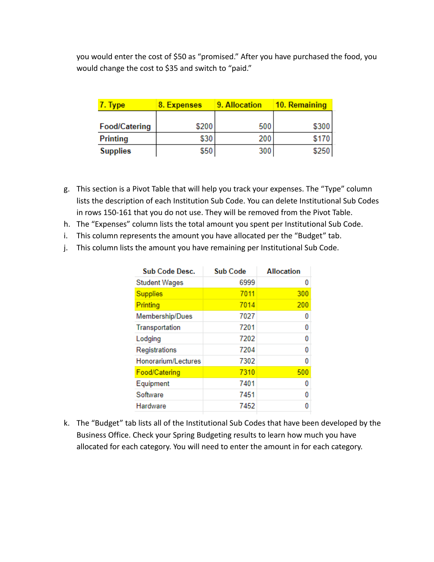you would enter the cost of \$50 as "promised." After you have purchased the food, you would change the cost to \$35 and switch to "paid."

| '. Type              | 8. Expenses | 9. Allocation | 10. Remaining |  |
|----------------------|-------------|---------------|---------------|--|
|                      |             |               |               |  |
| <b>Food/Catering</b> | \$200       | 500           | \$300         |  |
| Printing             | \$30        | 200           | \$170         |  |
| <b>Supplies</b>      | \$50        | 300           | \$250         |  |

- g. This section is a Pivot Table that will help you track your expenses. The "Type" column lists the description of each Institution Sub Code. You can delete Institutional Sub Codes in rows 150-161 that you do not use. They will be removed from the Pivot Table.
- h. The "Expenses" column lists the total amount you spent per Institutional Sub Code.
- i. This column represents the amount you have allocated per the "Budget" tab.
- j. This column lists the amount you have remaining per Institutional Sub Code.

| <b>Sub Code Desc.</b> | <b>Sub Code</b> | <b>Allocation</b> |
|-----------------------|-----------------|-------------------|
| <b>Student Wages</b>  | 6999            | 0                 |
| <b>Supplies</b>       | 7011            | 300               |
| Printing              | 7014            | 200               |
| Membership/Dues       | 7027            | 0                 |
| Transportation        | 7201            | 0                 |
| Lodging               | 7202            | 0                 |
| Registrations         | 7204            | 0                 |
| Honorarium/Lectures   | 7302            | 0                 |
| Food/Catering         | 7310            | 500               |
| Equipment             | 7401            | 0                 |
| Software              | 7451            | n                 |
| Hardware              | 7452            |                   |

k. The "Budget" tab lists all of the Institutional Sub Codes that have been developed by the Business Office. Check your Spring Budgeting results to learn how much you have allocated for each category. You will need to enter the amount in for each category.